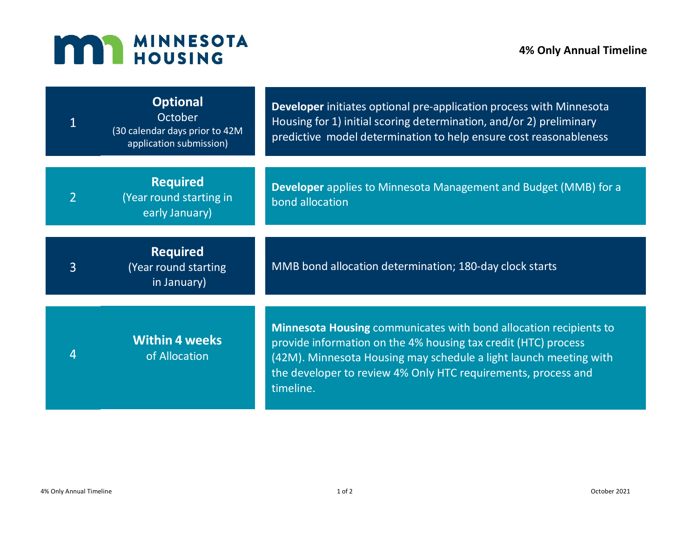## **MAN MINNESOTA**

|                | <b>Optional</b><br>October<br>(30 calendar days prior to 42M<br>application submission) | <b>Developer</b> initiates optional pre-application process with Minnesota<br>Housing for 1) initial scoring determination, and/or 2) preliminary<br>predictive model determination to help ensure cost reasonableness                                                                 |
|----------------|-----------------------------------------------------------------------------------------|----------------------------------------------------------------------------------------------------------------------------------------------------------------------------------------------------------------------------------------------------------------------------------------|
|                | <b>Required</b><br>(Year round starting in<br>early January)                            | <b>Developer</b> applies to Minnesota Management and Budget (MMB) for a<br>bond allocation                                                                                                                                                                                             |
| $\overline{3}$ | <b>Required</b><br>(Year round starting<br>in January)                                  | MMB bond allocation determination; 180-day clock starts                                                                                                                                                                                                                                |
| 4              | <b>Within 4 weeks</b><br>of Allocation                                                  | Minnesota Housing communicates with bond allocation recipients to<br>provide information on the 4% housing tax credit (HTC) process<br>(42M). Minnesota Housing may schedule a light launch meeting with<br>the developer to review 4% Only HTC requirements, process and<br>timeline. |